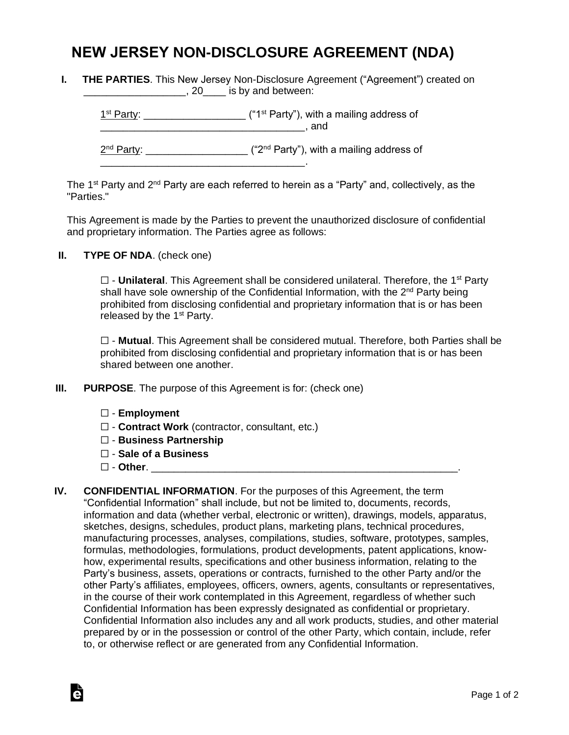## **NEW JERSEY NON-DISCLOSURE AGREEMENT (NDA)**

**I. THE PARTIES**. This New Jersey Non-Disclosure Agreement ("Agreement") created on **EXECUTE:** 19 and between:

 $1<sup>st</sup> Party: _______$  $\blacksquare$  and 2<sup>nd</sup> Party: \_\_\_\_\_\_\_\_\_\_\_\_\_\_\_\_\_\_\_\_ ("2<sup>nd</sup> Party"), with a mailing address of \_\_\_\_\_\_\_\_\_\_\_\_\_\_\_\_\_\_\_\_\_\_\_\_\_\_\_\_\_\_\_\_\_\_\_\_.

The 1<sup>st</sup> Party and 2<sup>nd</sup> Party are each referred to herein as a "Party" and, collectively, as the "Parties."

This Agreement is made by the Parties to prevent the unauthorized disclosure of confidential and proprietary information. The Parties agree as follows:

**II. TYPE OF NDA**. (check one)

□ - **Unilateral**. This Agreement shall be considered unilateral. Therefore, the 1<sup>st</sup> Party shall have sole ownership of the Confidential Information, with the 2<sup>nd</sup> Party being prohibited from disclosing confidential and proprietary information that is or has been released by the  $1<sup>st</sup>$  Party.

☐ - **Mutual**. This Agreement shall be considered mutual. Therefore, both Parties shall be prohibited from disclosing confidential and proprietary information that is or has been shared between one another.

- **III. PURPOSE**. The purpose of this Agreement is for: (check one)
	- ☐ **Employment**
	- ☐ **Contract Work** (contractor, consultant, etc.)
	- ☐ **Business Partnership**
	- ☐ **Sale of a Business**
	- ☐ **Other**. \_\_\_\_\_\_\_\_\_\_\_\_\_\_\_\_\_\_\_\_\_\_\_\_\_\_\_\_\_\_\_\_\_\_\_\_\_\_\_\_\_\_\_\_\_\_\_\_\_\_\_\_\_\_.

Ġ

**IV. CONFIDENTIAL INFORMATION**. For the purposes of this Agreement, the term "Confidential Information" shall include, but not be limited to, documents, records, information and data (whether verbal, electronic or written), drawings, models, apparatus, sketches, designs, schedules, product plans, marketing plans, technical procedures, manufacturing processes, analyses, compilations, studies, software, prototypes, samples, formulas, methodologies, formulations, product developments, patent applications, knowhow, experimental results, specifications and other business information, relating to the Party's business, assets, operations or contracts, furnished to the other Party and/or the other Party's affiliates, employees, officers, owners, agents, consultants or representatives, in the course of their work contemplated in this Agreement, regardless of whether such Confidential Information has been expressly designated as confidential or proprietary. Confidential Information also includes any and all work products, studies, and other material prepared by or in the possession or control of the other Party, which contain, include, refer to, or otherwise reflect or are generated from any Confidential Information.